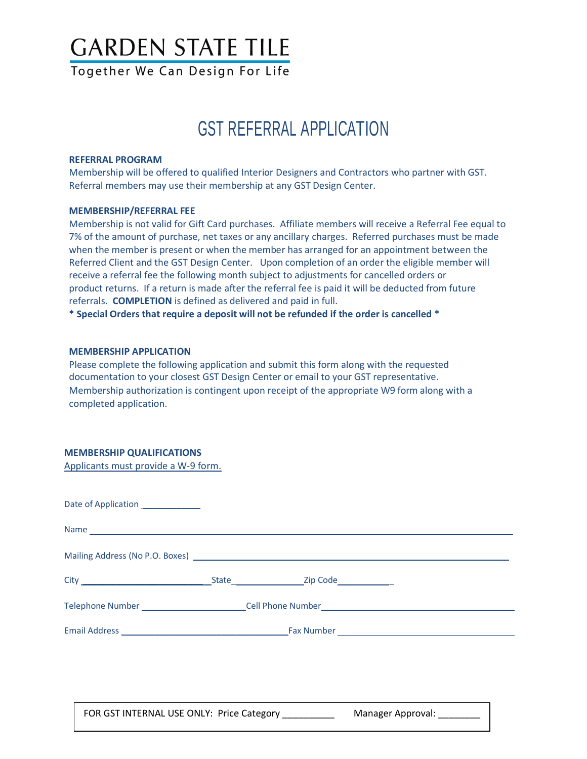# **GARDEN STATE TILE**

Together We Can Design For Life

# GST REFERRAL APPLICATION

### **REFERRAL PROGRAM**

Membership will be offered to qualified Interior Designers and Contractors who partner with GST. Referral members may use their membership at any GST Design Center.

### **MEMBERSHIP/REFERRAL FEE**

Membership is not valid for Gift Card purchases. Affiliate members will receive a Referral Fee equal to 7% of the amount of purchase, net taxes or any ancillary charges. Referred purchases must be made when the member is present or when the member has arranged for an appointment between the Referred Client and the GST Design Center. Upon completion of an order the eligible member will receive a referral fee the following month subject to adjustments for cancelled orders or product returns. If a return is made after the referral fee is paid it will be deducted from future referrals. **COMPLETION** is defined as delivered and paid in full.

**\* Special Orders that require a deposit will not be refunded if the order is cancelled \***

### **MEMBERSHIP APPLICATION**

Please complete the following application and submit this form along with the requested documentation to your closest GST Design Center or email to your GST representative. Membership authorization is contingent upon receipt of the appropriate W9 form along with a completed application.

## **MEMBERSHIP QUALIFICATIONS**

Applicants must provide a W-9 form.

| Date of Application ______________ |                                                                                                      |  |  |  |  |  |  |
|------------------------------------|------------------------------------------------------------------------------------------------------|--|--|--|--|--|--|
|                                    |                                                                                                      |  |  |  |  |  |  |
|                                    |                                                                                                      |  |  |  |  |  |  |
|                                    |                                                                                                      |  |  |  |  |  |  |
|                                    | Telephone Number ______________________________Cell Phone Number ___________________________________ |  |  |  |  |  |  |
|                                    |                                                                                                      |  |  |  |  |  |  |
|                                    |                                                                                                      |  |  |  |  |  |  |
|                                    |                                                                                                      |  |  |  |  |  |  |

FOR GST INTERNAL USE ONLY: Price Category The Manager Approval: